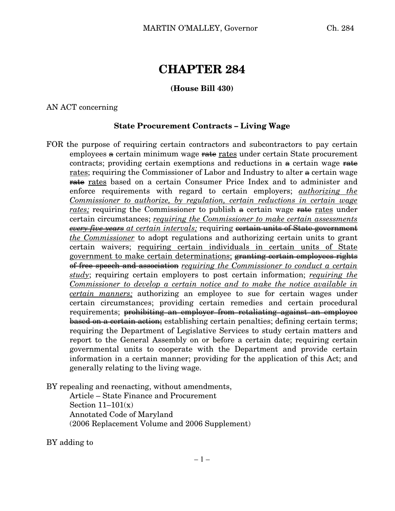# **CHAPTER 284**

## **(House Bill 430)**

#### AN ACT concerning

## **State Procurement Contracts – Living Wage**

FOR the purpose of requiring certain contractors and subcontractors to pay certain employees  $\theta$  certain minimum wage  $\theta$  rates under certain State procurement contracts; providing certain exemptions and reductions in  $\alpha$  certain wage rate rates; requiring the Commissioner of Labor and Industry to alter  $\alpha$  certain wage rate rates based on a certain Consumer Price Index and to administer and enforce requirements with regard to certain employers; *authorizing the Commissioner to authorize, by regulation, certain reductions in certain wage rates;* requiring the Commissioner to publish  $\theta$  certain wage rates under certain circumstances; *requiring the Commissioner to make certain assessments every five years at certain intervals;* requiring certain units of State government *the Commissioner* to adopt regulations and authorizing certain units to grant certain waivers; requiring certain individuals in certain units of State government to make certain determinations; granting certain employees rights of free speech and association *requiring the Commissioner to conduct a certain study*; requiring certain employers to post certain information; *requiring the Commissioner to develop a certain notice and to make the notice available in certain manners;* authorizing an employee to sue for certain wages under certain circumstances; providing certain remedies and certain procedural requirements; prohibiting an employer from retaliating against an employee based on a certain action; establishing certain penalties; defining certain terms; requiring the Department of Legislative Services to study certain matters and report to the General Assembly on or before a certain date; requiring certain governmental units to cooperate with the Department and provide certain information in a certain manner; providing for the application of this Act; and generally relating to the living wage.

BY repealing and reenacting, without amendments,

Article – State Finance and Procurement Section  $11-101(x)$ Annotated Code of Maryland (2006 Replacement Volume and 2006 Supplement)

BY adding to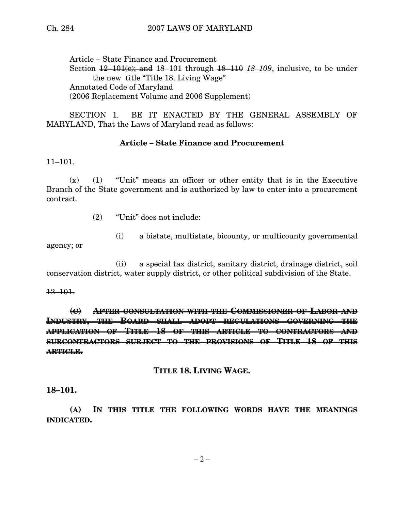Article – State Finance and Procurement Section  $\frac{12-101(e)}{e}$  and  $18-101$  through  $\frac{18-110}{e}$   $\frac{18-109}{e}$ , inclusive, to be under the new title "Title 18. Living Wage" Annotated Code of Maryland (2006 Replacement Volume and 2006 Supplement)

SECTION 1. BE IT ENACTED BY THE GENERAL ASSEMBLY OF MARYLAND, That the Laws of Maryland read as follows:

# **Article – State Finance and Procurement**

11–101.

 $(x)$  (1) "Unit" means an officer or other entity that is in the Executive Branch of the State government and is authorized by law to enter into a procurement contract.

- (2) "Unit" does not include:
	- (i) a bistate, multistate, bicounty, or multicounty governmental

agency; or

(ii) a special tax district, sanitary district, drainage district, soil conservation district, water supply district, or other political subdivision of the State.

#### 12–101.

**(C) AFTER CONSULTATION WITH THE COMMISSIONER OF LABOR AND INDUSTRY, THE BOARD SHALL ADOPT REGULATIONS GOVERNING THE APPLICATION OF TITLE 18 OF THIS ARTICLE TO CONTRACTORS AND SUBCONTRACTORS SUBJECT TO THE PROVISIONS OF TITLE 18 OF THIS ARTICLE.**

## **TITLE 18. LIVING WAGE.**

**18–101.**

**(A) IN THIS TITLE THE FOLLOWING WORDS HAVE THE MEANINGS INDICATED.**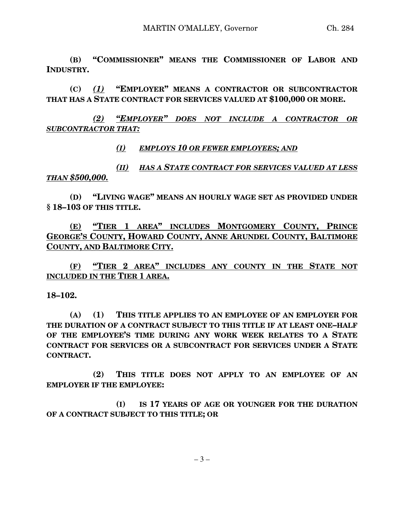**(B) "COMMISSIONER" MEANS THE COMMISSIONER OF LABOR AND INDUSTRY.**

**(C)** *(1)* **"EMPLOYER" MEANS A CONTRACTOR OR SUBCONTRACTOR THAT HAS A STATE CONTRACT FOR SERVICES VALUED AT \$100,000 OR MORE.**

*(2) "EMPLOYER" DOES NOT INCLUDE A CONTRACTOR OR SUBCONTRACTOR THAT:*

*(I) EMPLOYS 10 OR FEWER EMPLOYEES; AND*

*(II) HAS A STATE CONTRACT FOR SERVICES VALUED AT LESS THAN \$500,000.*

**(D) "LIVING WAGE" MEANS AN HOURLY WAGE SET AS PROVIDED UNDER § 18–103 OF THIS TITLE.**

**(E) "TIER 1 AREA" INCLUDES MONTGOMERY COUNTY, PRINCE GEORGE'S COUNTY, HOWARD COUNTY, ANNE ARUNDEL COUNTY, BALTIMORE COUNTY, AND BALTIMORE CITY.**

**(F) "TIER 2 AREA" INCLUDES ANY COUNTY IN THE STATE NOT INCLUDED IN THE TIER 1 AREA.**

## **18–102.**

**(A) (1) THIS TITLE APPLIES TO AN EMPLOYEE OF AN EMPLOYER FOR THE DURATION OF A CONTRACT SUBJECT TO THIS TITLE IF AT LEAST ONE–HALF OF THE EMPLOYEE'S TIME DURING ANY WORK WEEK RELATES TO A STATE CONTRACT FOR SERVICES OR A SUBCONTRACT FOR SERVICES UNDER A STATE CONTRACT.**

**(2) THIS TITLE DOES NOT APPLY TO AN EMPLOYEE OF AN EMPLOYER IF THE EMPLOYEE:**

**(I) IS 17 YEARS OF AGE OR YOUNGER FOR THE DURATION OF A CONTRACT SUBJECT TO THIS TITLE; OR**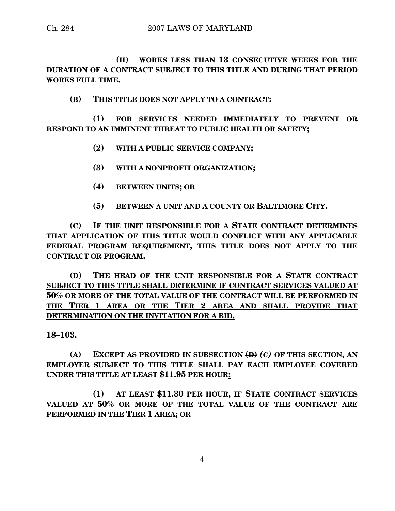**(II) WORKS LESS THAN 13 CONSECUTIVE WEEKS FOR THE DURATION OF A CONTRACT SUBJECT TO THIS TITLE AND DURING THAT PERIOD WORKS FULL TIME.**

**(B) THIS TITLE DOES NOT APPLY TO A CONTRACT:**

**(1) FOR SERVICES NEEDED IMMEDIATELY TO PREVENT OR RESPOND TO AN IMMINENT THREAT TO PUBLIC HEALTH OR SAFETY;**

- **(2) WITH A PUBLIC SERVICE COMPANY;**
- **(3) WITH A NONPROFIT ORGANIZATION;**
- **(4) BETWEEN UNITS; OR**
- **(5) BETWEEN A UNIT AND A COUNTY OR BALTIMORE CITY.**

**(C) IF THE UNIT RESPONSIBLE FOR A STATE CONTRACT DETERMINES THAT APPLICATION OF THIS TITLE WOULD CONFLICT WITH ANY APPLICABLE FEDERAL PROGRAM REQUIREMENT, THIS TITLE DOES NOT APPLY TO THE CONTRACT OR PROGRAM.**

**(D) THE HEAD OF THE UNIT RESPONSIBLE FOR A STATE CONTRACT SUBJECT TO THIS TITLE SHALL DETERMINE IF CONTRACT SERVICES VALUED AT 50% OR MORE OF THE TOTAL VALUE OF THE CONTRACT WILL BE PERFORMED IN THE TIER 1 AREA OR THE TIER 2 AREA AND SHALL PROVIDE THAT DETERMINATION ON THE INVITATION FOR A BID.**

**18–103.**

**(A) EXCEPT AS PROVIDED IN SUBSECTION (D)** *(C)* **OF THIS SECTION, AN EMPLOYER SUBJECT TO THIS TITLE SHALL PAY EACH EMPLOYEE COVERED UNDER THIS TITLE AT LEAST \$11.95 PER HOUR:**

**(1) AT LEAST \$11.30 PER HOUR, IF STATE CONTRACT SERVICES VALUED AT 50% OR MORE OF THE TOTAL VALUE OF THE CONTRACT ARE PERFORMED IN THE TIER 1 AREA; OR**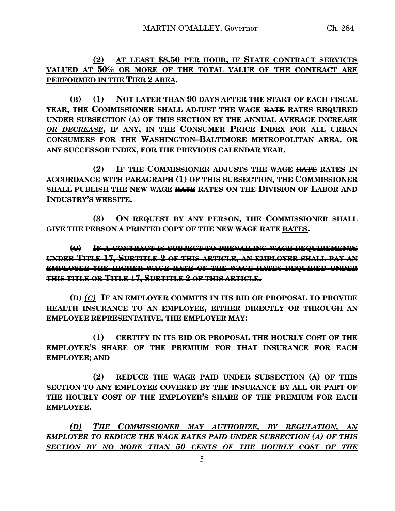**(2) AT LEAST \$8.50 PER HOUR, IF STATE CONTRACT SERVICES VALUED AT 50% OR MORE OF THE TOTAL VALUE OF THE CONTRACT ARE PERFORMED IN THE TIER 2 AREA.**

**(B) (1) NOT LATER THAN 90 DAYS AFTER THE START OF EACH FISCAL YEAR, THE COMMISSIONER SHALL ADJUST THE WAGE RATE RATES REQUIRED UNDER SUBSECTION (A) OF THIS SECTION BY THE ANNUAL AVERAGE INCREASE** *OR DECREASE***, IF ANY, IN THE CONSUMER PRICE INDEX FOR ALL URBAN CONSUMERS FOR THE WASHINGTON–BALTIMORE METROPOLITAN AREA, OR ANY SUCCESSOR INDEX, FOR THE PREVIOUS CALENDAR YEAR.**

**(2) IF THE COMMISSIONER ADJUSTS THE WAGE RATE RATES IN ACCORDANCE WITH PARAGRAPH (1) OF THIS SUBSECTION, THE COMMISSIONER SHALL PUBLISH THE NEW WAGE RATE RATES ON THE DIVISION OF LABOR AND INDUSTRY'S WEBSITE.**

**(3) ON REQUEST BY ANY PERSON, THE COMMISSIONER SHALL GIVE THE PERSON A PRINTED COPY OF THE NEW WAGE RATE RATES.**

**(C) IF A CONTRACT IS SUBJECT TO PREVAILING WAGE REQUIREMENTS UNDER TITLE 17, SUBTITLE 2 OF THIS ARTICLE, AN EMPLOYER SHALL PAY AN EMPLOYEE THE HIGHER WAGE RATE OF THE WAGE RATES REQUIRED UNDER THIS TITLE OR TITLE 17, SUBTITLE 2 OF THIS ARTICLE.**

**(D)** *(C)* **IF AN EMPLOYER COMMITS IN ITS BID OR PROPOSAL TO PROVIDE HEALTH INSURANCE TO AN EMPLOYEE, EITHER DIRECTLY OR THROUGH AN EMPLOYEE REPRESENTATIVE, THE EMPLOYER MAY:**

**(1) CERTIFY IN ITS BID OR PROPOSAL THE HOURLY COST OF THE EMPLOYER'S SHARE OF THE PREMIUM FOR THAT INSURANCE FOR EACH EMPLOYEE; AND**

**(2) REDUCE THE WAGE PAID UNDER SUBSECTION (A) OF THIS SECTION TO ANY EMPLOYEE COVERED BY THE INSURANCE BY ALL OR PART OF THE HOURLY COST OF THE EMPLOYER'S SHARE OF THE PREMIUM FOR EACH EMPLOYEE.**

*(D) THE COMMISSIONER MAY AUTHORIZE, BY REGULATION, AN EMPLOYER TO REDUCE THE WAGE RATES PAID UNDER SUBSECTION (A) OF THIS SECTION BY NO MORE THAN 50 CENTS OF THE HOURLY COST OF THE*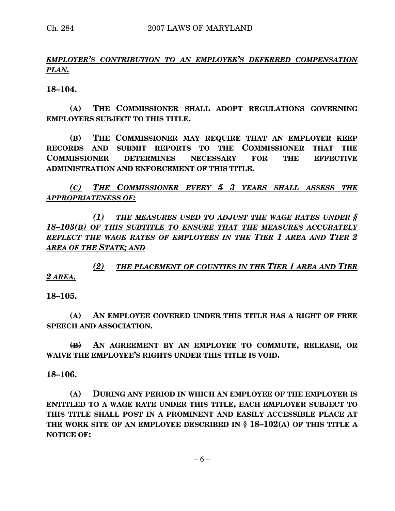# *EMPLOYER'S CONTRIBUTION TO AN EMPLOYEE'S DEFERRED COMPENSATION PLAN.*

**18–104.**

**(A) THE COMMISSIONER SHALL ADOPT REGULATIONS GOVERNING EMPLOYERS SUBJECT TO THIS TITLE.**

**(B) THE COMMISSIONER MAY REQUIRE THAT AN EMPLOYER KEEP RECORDS AND SUBMIT REPORTS TO THE COMMISSIONER THAT THE COMMISSIONER DETERMINES NECESSARY FOR THE EFFECTIVE ADMINISTRATION AND ENFORCEMENT OF THIS TITLE.**

*(C) THE COMMISSIONER EVERY 5 3 YEARS SHALL ASSESS THE APPROPRIATENESS OF:*

*(1) THE MEASURES USED TO ADJUST THE WAGE RATES UNDER § 18–103(B) OF THIS SUBTITLE TO ENSURE THAT THE MEASURES ACCURATELY REFLECT THE WAGE RATES OF EMPLOYEES IN THE TIER 1 AREA AND TIER 2 AREA OF THE STATE; AND*

*(2) THE PLACEMENT OF COUNTIES IN THE TIER 1 AREA AND TIER 2 AREA.*

**18–105.**

**(A) AN EMPLOYEE COVERED UNDER THIS TITLE HAS A RIGHT OF FREE SPEECH AND ASSOCIATION.**

**(B) AN AGREEMENT BY AN EMPLOYEE TO COMMUTE, RELEASE, OR WAIVE THE EMPLOYEE'S RIGHTS UNDER THIS TITLE IS VOID.**

**18–106.**

**(A) DURING ANY PERIOD IN WHICH AN EMPLOYEE OF THE EMPLOYER IS ENTITLED TO A WAGE RATE UNDER THIS TITLE, EACH EMPLOYER SUBJECT TO THIS TITLE SHALL POST IN A PROMINENT AND EASILY ACCESSIBLE PLACE AT THE WORK SITE OF AN EMPLOYEE DESCRIBED IN § 18–102(A) OF THIS TITLE A NOTICE OF:**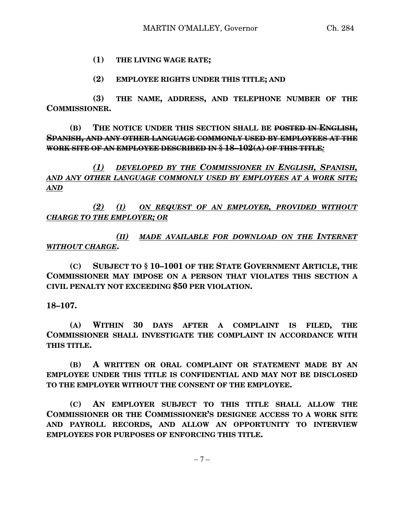## **(1) THE LIVING WAGE RATE;**

#### **(2) EMPLOYEE RIGHTS UNDER THIS TITLE; AND**

**(3) THE NAME, ADDRESS, AND TELEPHONE NUMBER OF THE COMMISSIONER.**

**(B) THE NOTICE UNDER THIS SECTION SHALL BE POSTED IN ENGLISH, SPANISH, AND ANY OTHER LANGUAGE COMMONLY USED BY EMPLOYEES AT THE WORK SITE OF AN EMPLOYEE DESCRIBED IN § 18–102(A) OF THIS TITLE***:*

*(1) DEVELOPED BY THE COMMISSIONER IN ENGLISH, SPANISH, AND ANY OTHER LANGUAGE COMMONLY USED BY EMPLOYEES AT A WORK SITE; AND*

*(2) (I) ON REQUEST OF AN EMPLOYER, PROVIDED WITHOUT CHARGE TO THE EMPLOYER; OR*

*(II) MADE AVAILABLE FOR DOWNLOAD ON THE INTERNET WITHOUT CHARGE***.**

**(C) SUBJECT TO § 10–1001 OF THE STATE GOVERNMENT ARTICLE, THE COMMISSIONER MAY IMPOSE ON A PERSON THAT VIOLATES THIS SECTION A CIVIL PENALTY NOT EXCEEDING \$50 PER VIOLATION.**

**18–107.**

**(A) WITHIN 30 DAYS AFTER A COMPLAINT IS FILED, THE COMMISSIONER SHALL INVESTIGATE THE COMPLAINT IN ACCORDANCE WITH THIS TITLE.**

**(B) A WRITTEN OR ORAL COMPLAINT OR STATEMENT MADE BY AN EMPLOYEE UNDER THIS TITLE IS CONFIDENTIAL AND MAY NOT BE DISCLOSED TO THE EMPLOYER WITHOUT THE CONSENT OF THE EMPLOYEE.**

**(C) AN EMPLOYER SUBJECT TO THIS TITLE SHALL ALLOW THE COMMISSIONER OR THE COMMISSIONER'S DESIGNEE ACCESS TO A WORK SITE AND PAYROLL RECORDS, AND ALLOW AN OPPORTUNITY TO INTERVIEW EMPLOYEES FOR PURPOSES OF ENFORCING THIS TITLE.**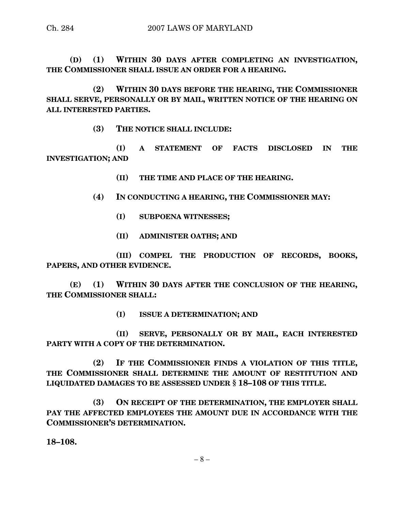**(D) (1) WITHIN 30 DAYS AFTER COMPLETING AN INVESTIGATION, THE COMMISSIONER SHALL ISSUE AN ORDER FOR A HEARING.**

**(2) WITHIN 30 DAYS BEFORE THE HEARING, THE COMMISSIONER SHALL SERVE, PERSONALLY OR BY MAIL, WRITTEN NOTICE OF THE HEARING ON ALL INTERESTED PARTIES.**

**(3) THE NOTICE SHALL INCLUDE:**

**(I) A STATEMENT OF FACTS DISCLOSED IN THE INVESTIGATION; AND**

- **(II) THE TIME AND PLACE OF THE HEARING.**
- **(4) IN CONDUCTING A HEARING, THE COMMISSIONER MAY:**
	- **(I) SUBPOENA WITNESSES;**
	- **(II) ADMINISTER OATHS; AND**

**(III) COMPEL THE PRODUCTION OF RECORDS, BOOKS, PAPERS, AND OTHER EVIDENCE.**

**(E) (1) WITHIN 30 DAYS AFTER THE CONCLUSION OF THE HEARING, THE COMMISSIONER SHALL:**

**(I) ISSUE A DETERMINATION; AND**

**(II) SERVE, PERSONALLY OR BY MAIL, EACH INTERESTED PARTY WITH A COPY OF THE DETERMINATION.**

**(2) IF THE COMMISSIONER FINDS A VIOLATION OF THIS TITLE, THE COMMISSIONER SHALL DETERMINE THE AMOUNT OF RESTITUTION AND LIQUIDATED DAMAGES TO BE ASSESSED UNDER § 18–108 OF THIS TITLE.**

**(3) ON RECEIPT OF THE DETERMINATION, THE EMPLOYER SHALL PAY THE AFFECTED EMPLOYEES THE AMOUNT DUE IN ACCORDANCE WITH THE COMMISSIONER'S DETERMINATION.**

**18–108.**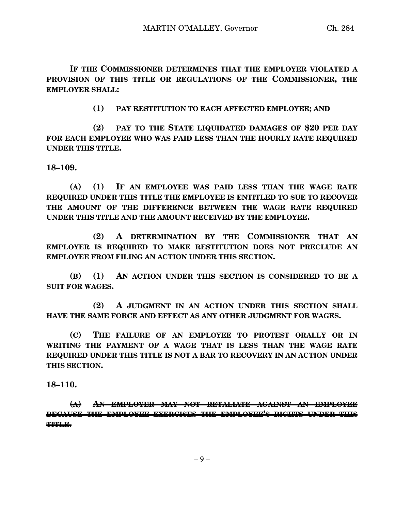**(1) PAY RESTITUTION TO EACH AFFECTED EMPLOYEE; AND**

**(2) PAY TO THE STATE LIQUIDATED DAMAGES OF \$20 PER DAY FOR EACH EMPLOYEE WHO WAS PAID LESS THAN THE HOURLY RATE REQUIRED UNDER THIS TITLE.**

**18–109.**

**(A) (1) IF AN EMPLOYEE WAS PAID LESS THAN THE WAGE RATE REQUIRED UNDER THIS TITLE THE EMPLOYEE IS ENTITLED TO SUE TO RECOVER THE AMOUNT OF THE DIFFERENCE BETWEEN THE WAGE RATE REQUIRED UNDER THIS TITLE AND THE AMOUNT RECEIVED BY THE EMPLOYEE.**

**(2) A DETERMINATION BY THE COMMISSIONER THAT AN EMPLOYER IS REQUIRED TO MAKE RESTITUTION DOES NOT PRECLUDE AN EMPLOYEE FROM FILING AN ACTION UNDER THIS SECTION.**

**(B) (1) AN ACTION UNDER THIS SECTION IS CONSIDERED TO BE A SUIT FOR WAGES.**

**(2) A JUDGMENT IN AN ACTION UNDER THIS SECTION SHALL HAVE THE SAME FORCE AND EFFECT AS ANY OTHER JUDGMENT FOR WAGES.**

**(C) THE FAILURE OF AN EMPLOYEE TO PROTEST ORALLY OR IN WRITING THE PAYMENT OF A WAGE THAT IS LESS THAN THE WAGE RATE REQUIRED UNDER THIS TITLE IS NOT A BAR TO RECOVERY IN AN ACTION UNDER THIS SECTION.**

## **18–110.**

**(A) AN EMPLOYER MAY NOT RETALIATE AGAINST AN EMPLOYEE BECAUSE THE EMPLOYEE EXERCISES THE EMPLOYEE'S RIGHTS UNDER THIS TITLE.**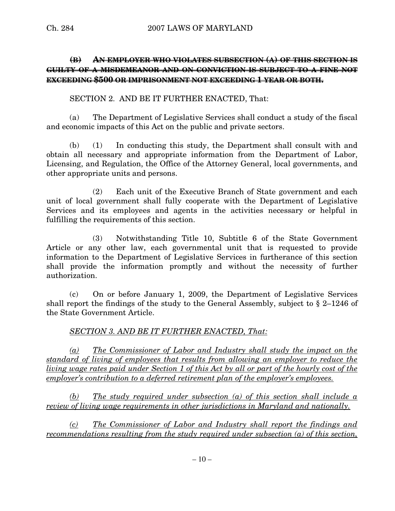# **(B) AN EMPLOYER WHO VIOLATES SUBSECTION (A) OF THIS SECTION IS GUILTY OF A MISDEMEANOR AND ON CONVICTION IS SUBJECT TO A FINE NOT EXCEEDING \$500 OR IMPRISONMENT NOT EXCEEDING 1 YEAR OR BOTH.**

SECTION 2. AND BE IT FURTHER ENACTED, That:

(a) The Department of Legislative Services shall conduct a study of the fiscal and economic impacts of this Act on the public and private sectors.

(b) (1) In conducting this study, the Department shall consult with and obtain all necessary and appropriate information from the Department of Labor, Licensing, and Regulation, the Office of the Attorney General, local governments, and other appropriate units and persons.

(2) Each unit of the Executive Branch of State government and each unit of local government shall fully cooperate with the Department of Legislative Services and its employees and agents in the activities necessary or helpful in fulfilling the requirements of this section.

(3) Notwithstanding Title 10, Subtitle 6 of the State Government Article or any other law, each governmental unit that is requested to provide information to the Department of Legislative Services in furtherance of this section shall provide the information promptly and without the necessity of further authorization.

(c) On or before January 1, 2009, the Department of Legislative Services shall report the findings of the study to the General Assembly, subject to § 2–1246 of the State Government Article.

# *SECTION 3. AND BE IT FURTHER ENACTED, That:*

*(a) The Commissioner of Labor and Industry shall study the impact on the standard of living of employees that results from allowing an employer to reduce the* living wage rates paid under Section 1 of this Act by all or part of the hourly cost of the *employer's contribution to a deferred retirement plan of the employer's employees.*

*(b) The study required under subsection (a) of this section shall include a review of living wage requirements in other jurisdictions in Maryland and nationally.*

*(c) The Commissioner of Labor and Industry shall report the findings and recommendations resulting from the study required under subsection (a) of this section,*